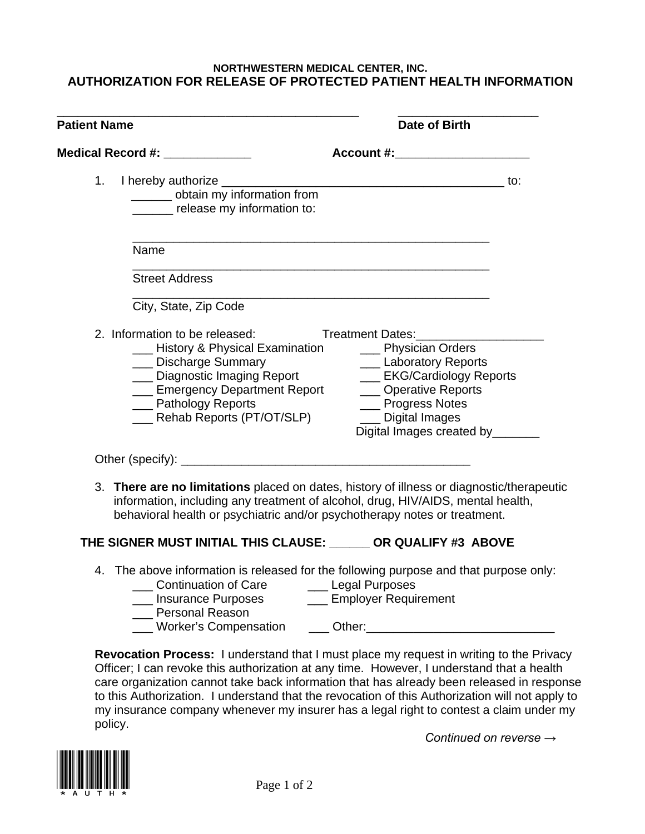## **NORTHWESTERN MEDICAL CENTER, INC. AUTHORIZATION FOR RELEASE OF PROTECTED PATIENT HEALTH INFORMATION**

| <b>Patient Name</b>                                                                                                                                                                                                        | Date of Birth                                                                                                                                                                                                 |  |
|----------------------------------------------------------------------------------------------------------------------------------------------------------------------------------------------------------------------------|---------------------------------------------------------------------------------------------------------------------------------------------------------------------------------------------------------------|--|
| Medical Record #: _____________                                                                                                                                                                                            | Account #:                                                                                                                                                                                                    |  |
| 1.<br>______ obtain my information from<br>_______ release my information to:                                                                                                                                              |                                                                                                                                                                                                               |  |
| Name                                                                                                                                                                                                                       |                                                                                                                                                                                                               |  |
| <b>Street Address</b>                                                                                                                                                                                                      |                                                                                                                                                                                                               |  |
| City, State, Zip Code                                                                                                                                                                                                      |                                                                                                                                                                                                               |  |
| 2. Information to be released:<br>___ History & Physical Examination<br>___ Discharge Summary<br>___ Diagnostic Imaging Report<br>___ Emergency Department Report<br>__ Pathology Reports<br>___ Rehab Reports (PT/OT/SLP) | <b>Treatment Dates:</b><br>___ Physician Orders<br>__ Laboratory Reports<br>___ EKG/Cardiology Reports<br>__ Operative Reports<br>___ Progress Notes<br>__ Digital Images<br>Digital Images created by_______ |  |
|                                                                                                                                                                                                                            |                                                                                                                                                                                                               |  |
| 3. There are no limitations placed on dates, history of illness or diagnostic/therapeutic<br>behavioral health or psychiatric and/or psychotherapy notes or treatment.                                                     | information, including any treatment of alcohol, drug, HIV/AIDS, mental health,                                                                                                                               |  |

## **THE SIGNER MUST INITIAL THIS CLAUSE: \_\_\_\_\_\_ OR QUALIFY #3 ABOVE**

- 4. The above information is released for the following purpose and that purpose only:
	- Legal Purposes<br>
	Legal Purposes<br>
	Legal Purposes<br>
	Legal Purposes<br>
	Legal Purposes<br>
	Legal Purposes **\_\_\_ Insurance Purposes** Personal Reason Worker's Compensation **Company** Other:

**Revocation Process:** I understand that I must place my request in writing to the Privacy Officer; I can revoke this authorization at any time. However, I understand that a health care organization cannot take back information that has already been released in response to this Authorization. I understand that the revocation of this Authorization will not apply to my insurance company whenever my insurer has a legal right to contest a claim under my policy.

 *Continued on reverse →*